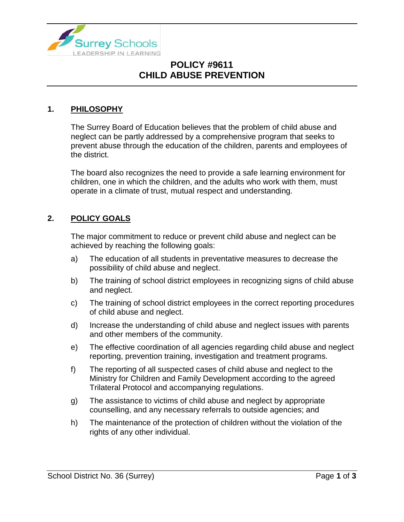

# **POLICY #9611 CHILD ABUSE PREVENTION**

#### **1. PHILOSOPHY**

The Surrey Board of Education believes that the problem of child abuse and neglect can be partly addressed by a comprehensive program that seeks to prevent abuse through the education of the children, parents and employees of the district.

The board also recognizes the need to provide a safe learning environment for children, one in which the children, and the adults who work with them, must operate in a climate of trust, mutual respect and understanding.

#### **2. POLICY GOALS**

The major commitment to reduce or prevent child abuse and neglect can be achieved by reaching the following goals:

- a) The education of all students in preventative measures to decrease the possibility of child abuse and neglect.
- b) The training of school district employees in recognizing signs of child abuse and neglect.
- c) The training of school district employees in the correct reporting procedures of child abuse and neglect.
- d) Increase the understanding of child abuse and neglect issues with parents and other members of the community.
- e) The effective coordination of all agencies regarding child abuse and neglect reporting, prevention training, investigation and treatment programs.
- f) The reporting of all suspected cases of child abuse and neglect to the Ministry for Children and Family Development according to the agreed Trilateral Protocol and accompanying regulations.
- g) The assistance to victims of child abuse and neglect by appropriate counselling, and any necessary referrals to outside agencies; and
- h) The maintenance of the protection of children without the violation of the rights of any other individual.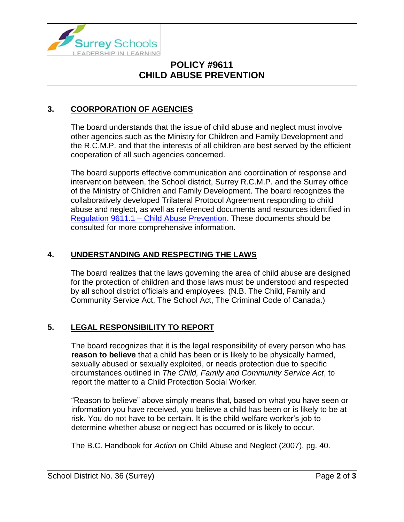

# **POLICY #9611 CHILD ABUSE PREVENTION**

### **3. COORPORATION OF AGENCIES**

The board understands that the issue of child abuse and neglect must involve other agencies such as the Ministry for Children and Family Development and the R.C.M.P. and that the interests of all children are best served by the efficient cooperation of all such agencies concerned.

The board supports effective communication and coordination of response and intervention between, the School district, Surrey R.C.M.P. and the Surrey office of the Ministry of Children and Family Development. The board recognizes the collaboratively developed Trilateral Protocol Agreement responding to child abuse and neglect, as well as referenced documents and resources identified in Regulation 9611.1 – [Child Abuse Prevention.](https://www.surreyschools.ca/departments/SECT/PoliciesRegulations/section_9000/Documents/9611.1%20Regulation.pdf) These documents should be consulted for more comprehensive information.

### **4. UNDERSTANDING AND RESPECTING THE LAWS**

The board realizes that the laws governing the area of child abuse are designed for the protection of children and those laws must be understood and respected by all school district officials and employees. (N.B. The Child, Family and Community Service Act, The School Act, The Criminal Code of Canada.)

### **5. LEGAL RESPONSIBILITY TO REPORT**

The board recognizes that it is the legal responsibility of every person who has **reason to believe** that a child has been or is likely to be physically harmed, sexually abused or sexually exploited, or needs protection due to specific circumstances outlined in *The Child, Family and Community Service Act*, to report the matter to a Child Protection Social Worker.

"Reason to believe" above simply means that, based on what you have seen or information you have received, you believe a child has been or is likely to be at risk. You do not have to be certain. It is the child welfare worker's job to determine whether abuse or neglect has occurred or is likely to occur.

The B.C. Handbook for *Action* on Child Abuse and Neglect (2007), pg. 40.